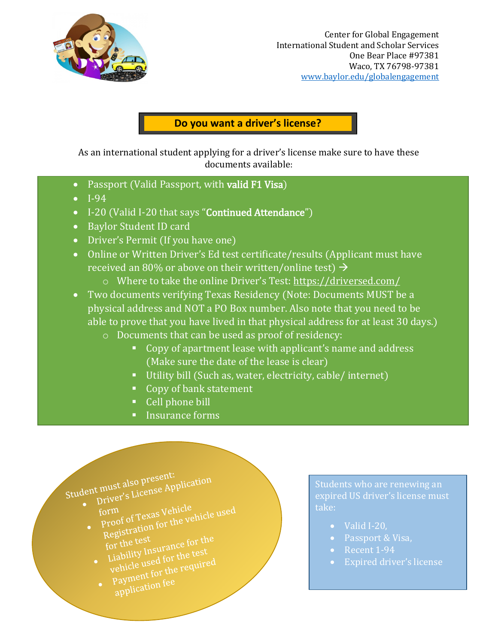

## **Do you want a driver's license?**

As an international student applying for a driver's license make sure to have these documents available:

- Passport (Valid Passport, with valid F1 Visa)
- I-94
- I-20 (Valid I-20 that says "Continued Attendance")
- Baylor Student ID card
- Driver's Permit (If you have one)
- Online or Written Driver's Ed test certificate/results (Applicant must have received an 80% or above on their written/online test)  $\rightarrow$ 
	- o Where to take the online Driver's Test:<https://driversed.com/>
- Two documents verifying Texas Residency (Note: Documents MUST be a physical address and NOT a PO Box number. Also note that you need to be able to prove that you have lived in that physical address for at least 30 days.)
	- o Documents that can be used as proof of residency:
		- Copy of apartment lease with applicant's name and address (Make sure the date of the lease is clear)
		- Utility bill (Such as, water, electricity, cable/ internet)
		- Copy of bank statement
		- Cell phone bill
		- **Insurance forms**

Student must also present: 

- form<br>form<br>proof of Texas Vehicle<br>extration for the ve form<br>proof of Texas Vehicle<br>Registration for the vehicle used<br>Registration for the sest
- Registration<br>for the test<br>Liability Insurance for the<br>Liabe used for the test
	- for the tool<br>Liability Insurance for the<br>vehicle used for the required<br>cont for the required Liability the for the test<br>vehicle used for the required<br>• Payment for fee<br>• condication fee
	- Payment lorse

Students who are renewing an expired US driver's license must take:

- Valid I-20,
- Passport & Visa,
- Recent 1-94
- Expired driver's license